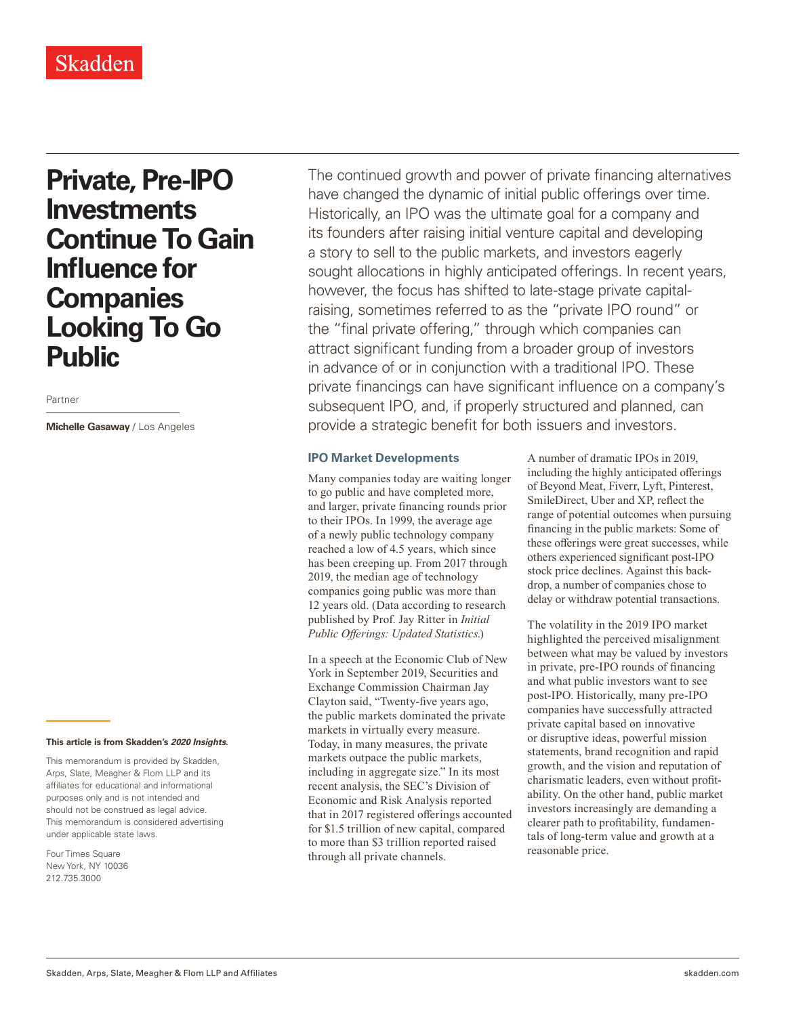# **Private, Pre-IPO Investments Continue To Gain Influence for Companies Looking To Go Public**

Partner

**Michelle Gasaway** / Los Angeles

#### **This article is from Skadden's** *202[0 Insights](https://www.skadden.com/insights/publications/2020/01/2020-insights/2020-insights)***.**

This memorandum is provided by Skadden, Arps, Slate, Meagher & Flom LLP and its affiliates for educational and informational purposes only and is not intended and should not be construed as legal advice. This memorandum is considered advertising under applicable state laws.

Four Times Square New York, NY 10036 212.735.3000

The continued growth and power of private financing alternatives have changed the dynamic of initial public offerings over time. Historically, an IPO was the ultimate goal for a company and its founders after raising initial venture capital and developing a story to sell to the public markets, and investors eagerly sought allocations in highly anticipated offerings. In recent years, however, the focus has shifted to late-stage private capitalraising, sometimes referred to as the "private IPO round" or the "final private offering," through which companies can attract significant funding from a broader group of investors in advance of or in conjunction with a traditional IPO. These private financings can have significant influence on a company's subsequent IPO, and, if properly structured and planned, can provide a strategic benefit for both issuers and investors.

#### **IPO Market Developments**

Many companies today are waiting longer to go public and have completed more, and larger, private financing rounds prior to their IPOs. In 1999, the average age of a newly public technology company reached a low of 4.5 years, which since has been creeping up. From 2017 through 2019, the median age of technology companies going public was more than 12 years old. (Data according to research published by Prof. Jay Ritter in *Initial Public Offerings: Updated Statistics*.)

In a speech at the Economic Club of New York in September 2019, Securities and Exchange Commission Chairman Jay Clayton said, "Twenty-five years ago, the public markets dominated the private markets in virtually every measure. Today, in many measures, the private markets outpace the public markets, including in aggregate size." In its most recent analysis, the SEC's Division of Economic and Risk Analysis reported that in 2017 registered offerings accounted for \$1.5 trillion of new capital, compared to more than \$3 trillion reported raised through all private channels.

A number of dramatic IPOs in 2019, including the highly anticipated offerings of Beyond Meat, Fiverr, Lyft, Pinterest, SmileDirect, Uber and XP, reflect the range of potential outcomes when pursuing financing in the public markets: Some of these offerings were great successes, while others experienced significant post-IPO stock price declines. Against this backdrop, a number of companies chose to delay or withdraw potential transactions.

The volatility in the 2019 IPO market highlighted the perceived misalignment between what may be valued by investors in private, pre-IPO rounds of financing and what public investors want to see post-IPO. Historically, many pre-IPO companies have successfully attracted private capital based on innovative or disruptive ideas, powerful mission statements, brand recognition and rapid growth, and the vision and reputation of charismatic leaders, even without profitability. On the other hand, public market investors increasingly are demanding a clearer path to profitability, fundamentals of long-term value and growth at a reasonable price.